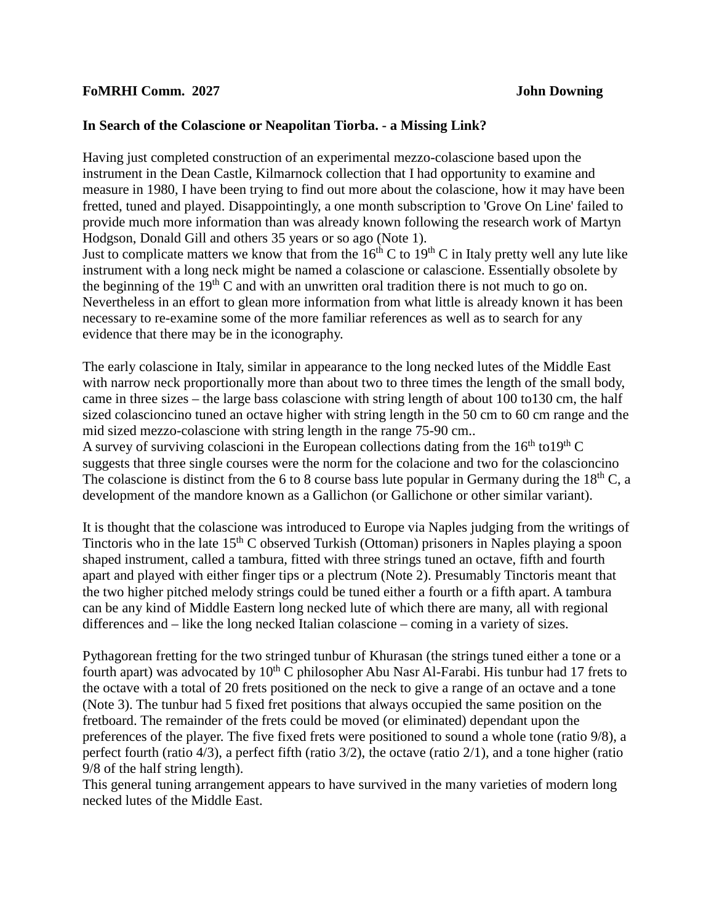## **FoMRHI Comm.** 2027 John Downing

## **In Search of the Colascione or Neapolitan Tiorba. - a Missing Link?**

Having just completed construction of an experimental mezzo-colascione based upon the instrument in the Dean Castle, Kilmarnock collection that I had opportunity to examine and measure in 1980, I have been trying to find out more about the colascione, how it may have been fretted, tuned and played. Disappointingly, a one month subscription to 'Grove On Line' failed to provide much more information than was already known following the research work of Martyn Hodgson, Donald Gill and others 35 years or so ago (Note 1). Just to complicate matters we know that from the  $16<sup>th</sup>$ C to  $19<sup>th</sup>$ C in Italy pretty well any lute like

instrument with a long neck might be named a colascione or calascione. Essentially obsolete by the beginning of the  $19<sup>th</sup>$ C and with an unwritten oral tradition there is not much to go on. Nevertheless in an effort to glean more information from what little is already known it has been necessary to re-examine some of the more familiar references as well as to search for any evidence that there may be in the iconography.

The early colascione in Italy, similar in appearance to the long necked lutes of the Middle East with narrow neck proportionally more than about two to three times the length of the small body, came in three sizes – the large bass colascione with string length of about 100 to130 cm, the half sized colascioncino tuned an octave higher with string length in the 50 cm to 60 cm range and the mid sized mezzo-colascione with string length in the range 75-90 cm..

A survey of surviving colascioni in the European collections dating from the  $16<sup>th</sup>$  to  $19<sup>th</sup>$  C suggests that three single courses were the norm for the colacione and two for the colascioncino The colascione is distinct from the 6 to 8 course bass lute popular in Germany during the  $18<sup>th</sup>$  C, a development of the mandore known as a Gallichon (or Gallichone or other similar variant).

It is thought that the colascione was introduced to Europe via Naples judging from the writings of Tinctoris who in the late  $15<sup>th</sup>$  C observed Turkish (Ottoman) prisoners in Naples playing a spoon shaped instrument, called a tambura, fitted with three strings tuned an octave, fifth and fourth apart and played with either finger tips or a plectrum (Note 2). Presumably Tinctoris meant that the two higher pitched melody strings could be tuned either a fourth or a fifth apart. A tambura can be any kind of Middle Eastern long necked lute of which there are many, all with regional differences and – like the long necked Italian colascione – coming in a variety of sizes.

Pythagorean fretting for the two stringed tunbur of Khurasan (the strings tuned either a tone or a fourth apart) was advocated by  $10^{th}$  C philosopher Abu Nasr Al-Farabi. His tunbur had 17 frets to the octave with a total of 20 frets positioned on the neck to give a range of an octave and a tone (Note 3). The tunbur had 5 fixed fret positions that always occupied the same position on the fretboard. The remainder of the frets could be moved (or eliminated) dependant upon the preferences of the player. The five fixed frets were positioned to sound a whole tone (ratio 9/8), a perfect fourth (ratio 4/3), a perfect fifth (ratio 3/2), the octave (ratio 2/1), and a tone higher (ratio 9/8 of the half string length).

This general tuning arrangement appears to have survived in the many varieties of modern long necked lutes of the Middle East.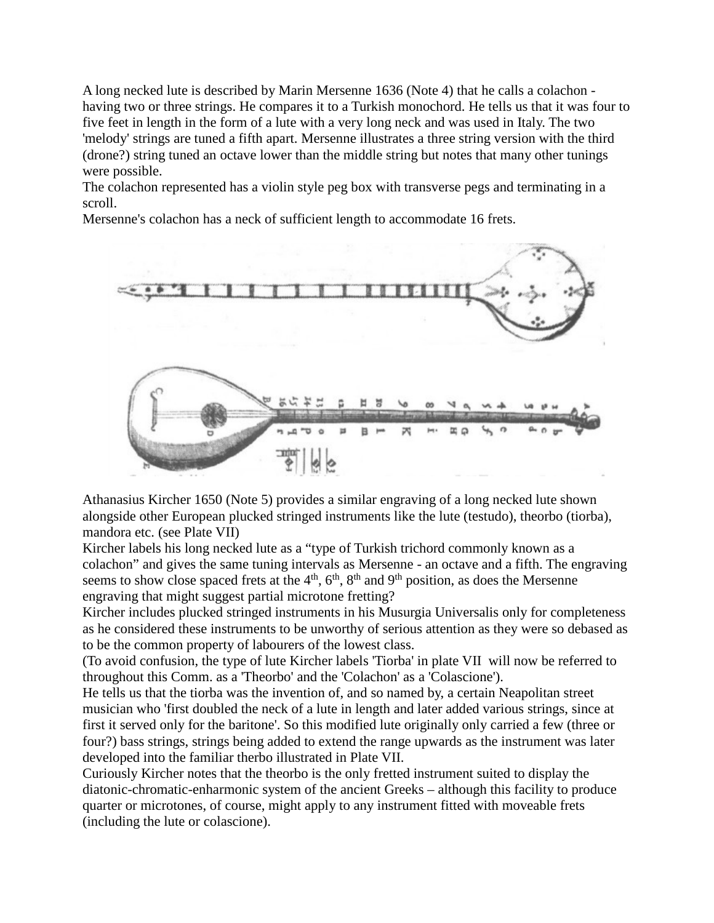A long necked lute is described by Marin Mersenne 1636 (Note 4) that he calls a colachon having two or three strings. He compares it to a Turkish monochord. He tells us that it was four to five feet in length in the form of a lute with a very long neck and was used in Italy. The two 'melody' strings are tuned a fifth apart. Mersenne illustrates a three string version with the third (drone?) string tuned an octave lower than the middle string but notes that many other tunings were possible.

The colachon represented has a violin style peg box with transverse pegs and terminating in a scroll.

Mersenne's colachon has a neck of sufficient length to accommodate 16 frets.



Athanasius Kircher 1650 (Note 5) provides a similar engraving of a long necked lute shown alongside other European plucked stringed instruments like the lute (testudo), theorbo (tiorba), mandora etc. (see Plate VII)

Kircher labels his long necked lute as a "type of Turkish trichord commonly known as a colachon" and gives the same tuning intervals as Mersenne - an octave and a fifth. The engraving seems to show close spaced frets at the  $4<sup>th</sup>$ ,  $6<sup>th</sup>$ ,  $8<sup>th</sup>$  and  $9<sup>th</sup>$  position, as does the Mersenne engraving that might suggest partial microtone fretting?

Kircher includes plucked stringed instruments in his Musurgia Universalis only for completeness as he considered these instruments to be unworthy of serious attention as they were so debased as to be the common property of labourers of the lowest class.

(To avoid confusion, the type of lute Kircher labels 'Tiorba' in plate VII will now be referred to throughout this Comm. as a 'Theorbo' and the 'Colachon' as a 'Colascione').

He tells us that the tiorba was the invention of, and so named by, a certain Neapolitan street musician who 'first doubled the neck of a lute in length and later added various strings, since at first it served only for the baritone'. So this modified lute originally only carried a few (three or four?) bass strings, strings being added to extend the range upwards as the instrument was later developed into the familiar therbo illustrated in Plate VII.

Curiously Kircher notes that the theorbo is the only fretted instrument suited to display the diatonic-chromatic-enharmonic system of the ancient Greeks – although this facility to produce quarter or microtones, of course, might apply to any instrument fitted with moveable frets (including the lute or colascione).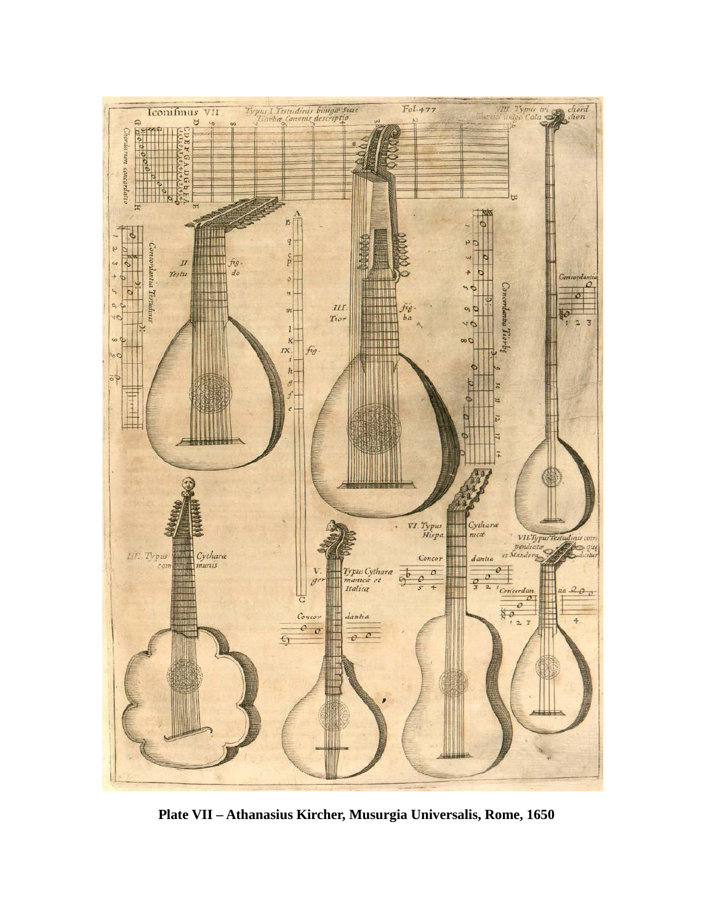

**Plate VII – Athanasius Kircher, Musurgia Universalis, Rome, 1650**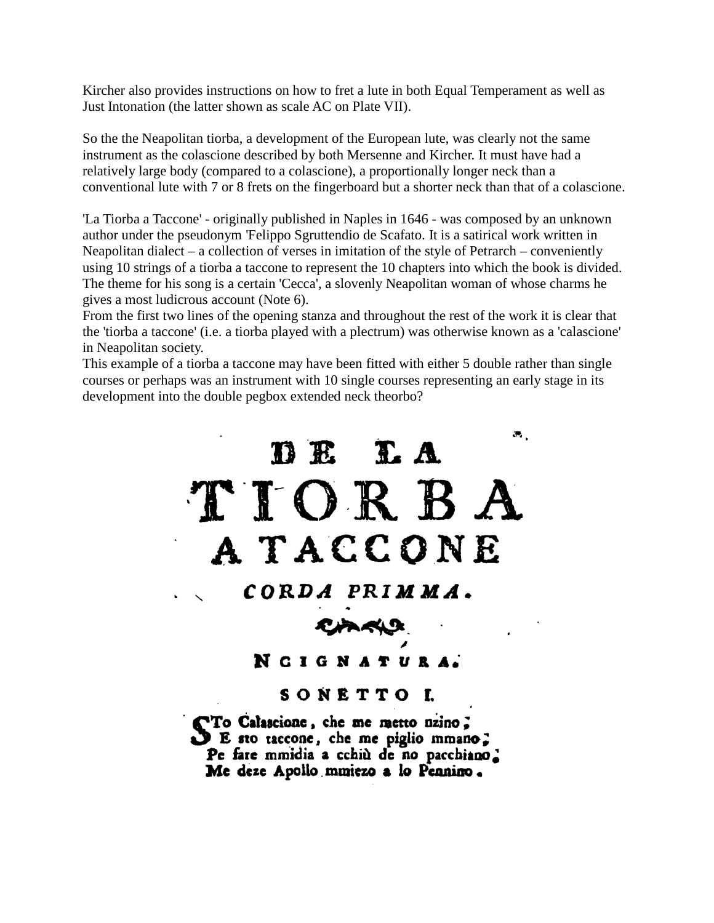Kircher also provides instructions on how to fret a lute in both Equal Temperament as well as Just Intonation (the latter shown as scale AC on Plate VII).

So the the Neapolitan tiorba, a development of the European lute, was clearly not the same instrument as the colascione described by both Mersenne and Kircher. It must have had a relatively large body (compared to a colascione), a proportionally longer neck than a conventional lute with 7 or 8 frets on the fingerboard but a shorter neck than that of a colascione.

'La Tiorba a Taccone' - originally published in Naples in 1646 - was composed by an unknown author under the pseudonym 'Felippo Sgruttendio de Scafato. It is a satirical work written in Neapolitan dialect – a collection of verses in imitation of the style of Petrarch – conveniently using 10 strings of a tiorba a taccone to represent the 10 chapters into which the book is divided. The theme for his song is a certain 'Cecca', a slovenly Neapolitan woman of whose charms he gives a most ludicrous account (Note 6).

From the first two lines of the opening stanza and throughout the rest of the work it is clear that the 'tiorba a taccone' (i.e. a tiorba played with a plectrum) was otherwise known as a 'calascione' in Neapolitan society.

This example of a tiorba a taccone may have been fitted with either 5 double rather than single courses or perhaps was an instrument with 10 single courses representing an early stage in its development into the double pegbox extended neck theorbo?



NCIGNATURA.

# SONETTO L

STo Calascione, che me metto nzino;<br>S E sto taccone, che me piglio mmano; Pe fare mmidia a cchiù de no pacchiano. Me deze Apollo mmiezo a lo Pennino.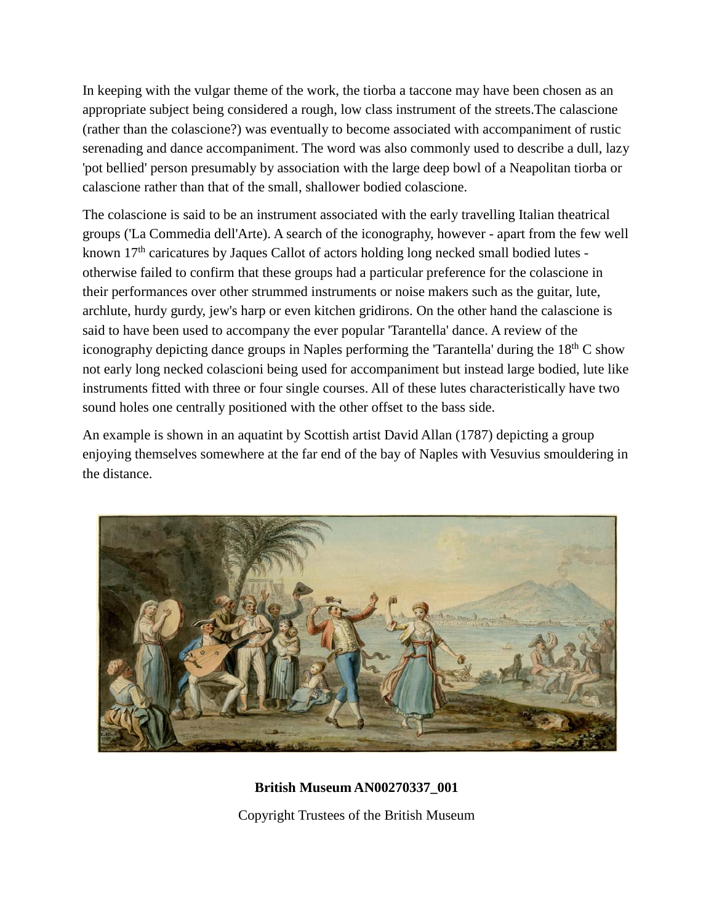In keeping with the vulgar theme of the work, the tiorba a taccone may have been chosen as an appropriate subject being considered a rough, low class instrument of the streets.The calascione (rather than the colascione?) was eventually to become associated with accompaniment of rustic serenading and dance accompaniment. The word was also commonly used to describe a dull, lazy 'pot bellied' person presumably by association with the large deep bowl of a Neapolitan tiorba or calascione rather than that of the small, shallower bodied colascione.

The colascione is said to be an instrument associated with the early travelling Italian theatrical groups ('La Commedia dell'Arte). A search of the iconography, however - apart from the few well known 17<sup>th</sup> caricatures by Jaques Callot of actors holding long necked small bodied lutes otherwise failed to confirm that these groups had a particular preference for the colascione in their performances over other strummed instruments or noise makers such as the guitar, lute, archlute, hurdy gurdy, jew's harp or even kitchen gridirons. On the other hand the calascione is said to have been used to accompany the ever popular 'Tarantella' dance. A review of the iconography depicting dance groups in Naples performing the 'Tarantella' during the  $18<sup>th</sup>$ C show not early long necked colascioni being used for accompaniment but instead large bodied, lute like instruments fitted with three or four single courses. All of these lutes characteristically have two sound holes one centrally positioned with the other offset to the bass side.

An example is shown in an aquatint by Scottish artist David Allan (1787) depicting a group enjoying themselves somewhere at the far end of the bay of Naples with Vesuvius smouldering in the distance.



**British Museum AN00270337\_001** Copyright Trustees of the British Museum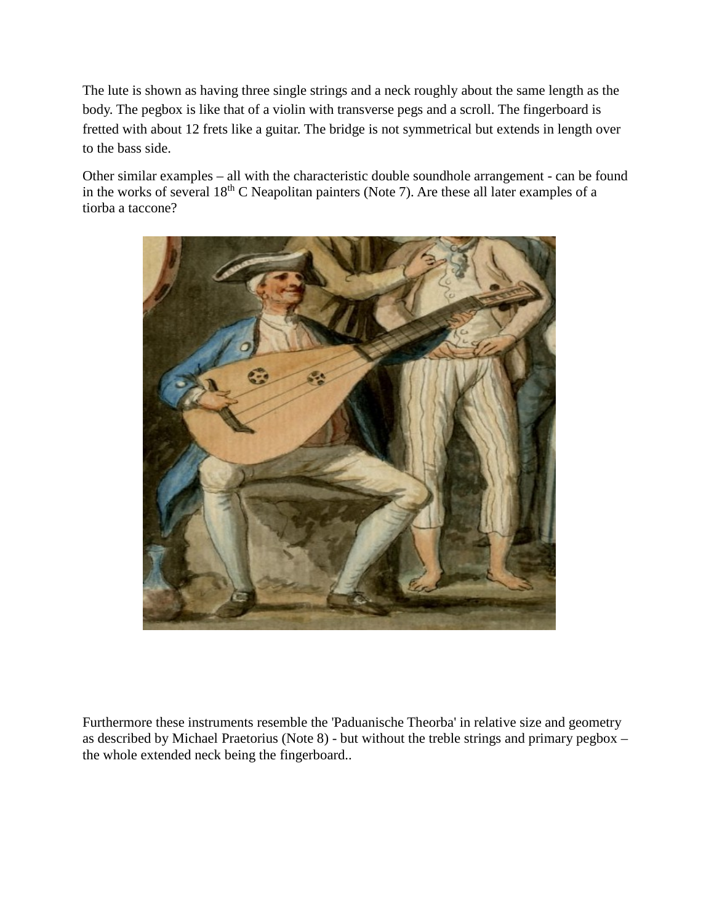The lute is shown as having three single strings and a neck roughly about the same length as the body. The pegbox is like that of a violin with transverse pegs and a scroll. The fingerboard is fretted with about 12 frets like a guitar. The bridge is not symmetrical but extends in length over to the bass side.

Other similar examples – all with the characteristic double soundhole arrangement - can be found in the works of several 18<sup>th</sup> C Neapolitan painters (Note 7). Are these all later examples of a tiorba a taccone?



Furthermore these instruments resemble the 'Paduanische Theorba' in relative size and geometry as described by Michael Praetorius (Note 8) - but without the treble strings and primary pegbox – the whole extended neck being the fingerboard..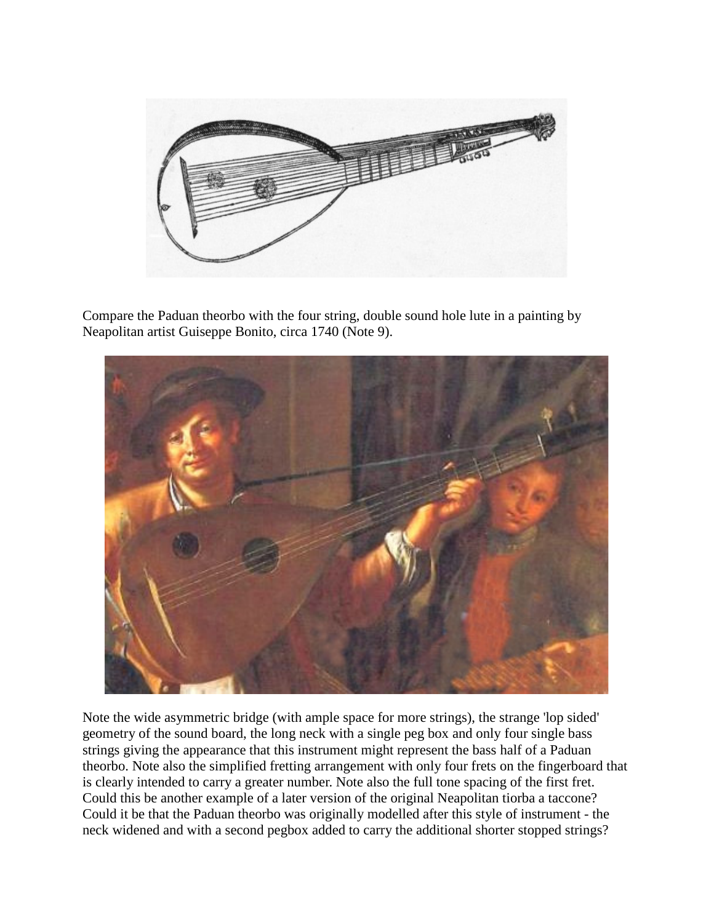

Compare the Paduan theorbo with the four string, double sound hole lute in a painting by Neapolitan artist Guiseppe Bonito, circa 1740 (Note 9).



Note the wide asymmetric bridge (with ample space for more strings), the strange 'lop sided' geometry of the sound board, the long neck with a single peg box and only four single bass strings giving the appearance that this instrument might represent the bass half of a Paduan theorbo. Note also the simplified fretting arrangement with only four frets on the fingerboard that is clearly intended to carry a greater number. Note also the full tone spacing of the first fret. Could this be another example of a later version of the original Neapolitan tiorba a taccone? Could it be that the Paduan theorbo was originally modelled after this style of instrument - the neck widened and with a second pegbox added to carry the additional shorter stopped strings?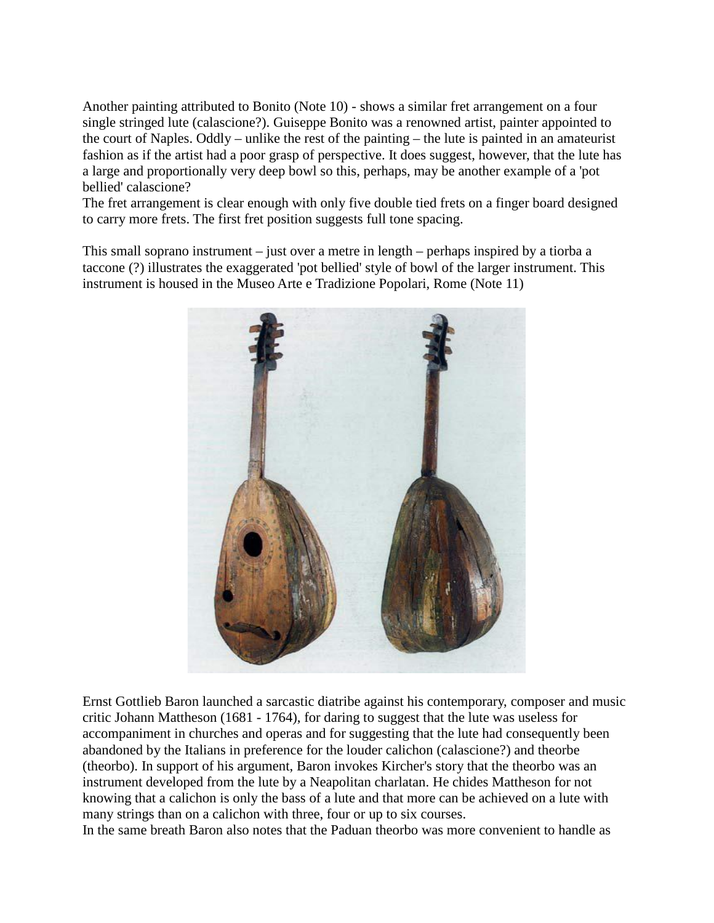Another painting attributed to Bonito (Note 10) - shows a similar fret arrangement on a four single stringed lute (calascione?). Guiseppe Bonito was a renowned artist, painter appointed to the court of Naples. Oddly – unlike the rest of the painting – the lute is painted in an amateurist fashion as if the artist had a poor grasp of perspective. It does suggest, however, that the lute has a large and proportionally very deep bowl so this, perhaps, may be another example of a 'pot bellied' calascione?

The fret arrangement is clear enough with only five double tied frets on a finger board designed to carry more frets. The first fret position suggests full tone spacing.

This small soprano instrument – just over a metre in length – perhaps inspired by a tiorba a taccone (?) illustrates the exaggerated 'pot bellied' style of bowl of the larger instrument. This instrument is housed in the Museo Arte e Tradizione Popolari, Rome (Note 11)



Ernst Gottlieb Baron launched a sarcastic diatribe against his contemporary, composer and music critic Johann Mattheson (1681 - 1764), for daring to suggest that the lute was useless for accompaniment in churches and operas and for suggesting that the lute had consequently been abandoned by the Italians in preference for the louder calichon (calascione?) and theorbe (theorbo). In support of his argument, Baron invokes Kircher's story that the theorbo was an instrument developed from the lute by a Neapolitan charlatan. He chides Mattheson for not knowing that a calichon is only the bass of a lute and that more can be achieved on a lute with many strings than on a calichon with three, four or up to six courses.

In the same breath Baron also notes that the Paduan theorbo was more convenient to handle as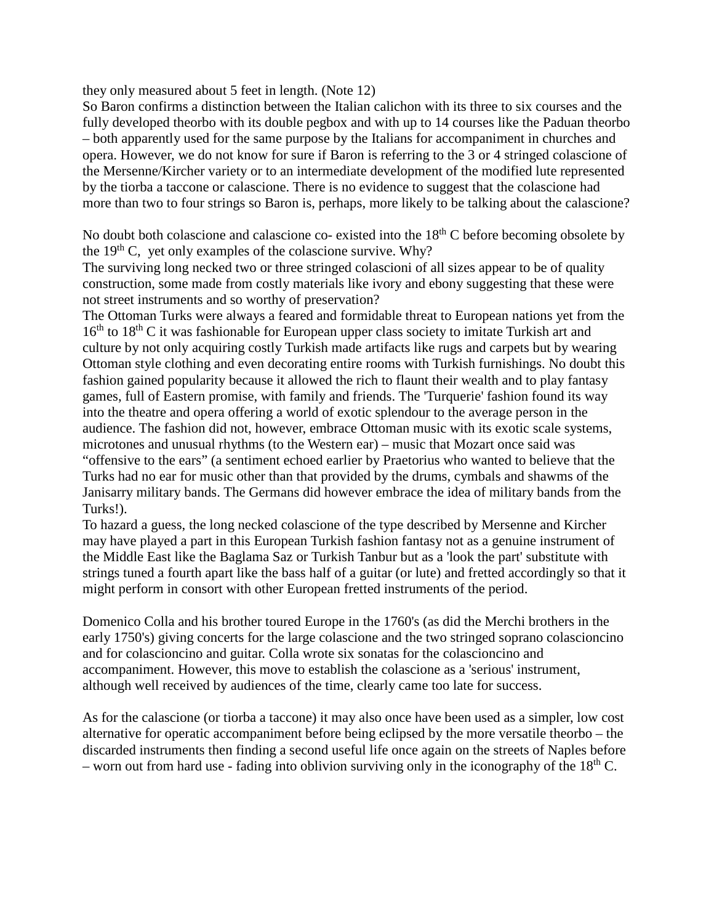they only measured about 5 feet in length. (Note 12)

So Baron confirms a distinction between the Italian calichon with its three to six courses and the fully developed theorbo with its double pegbox and with up to 14 courses like the Paduan theorbo – both apparently used for the same purpose by the Italians for accompaniment in churches and opera. However, we do not know for sure if Baron is referring to the 3 or 4 stringed colascione of the Mersenne/Kircher variety or to an intermediate development of the modified lute represented by the tiorba a taccone or calascione. There is no evidence to suggest that the colascione had more than two to four strings so Baron is, perhaps, more likely to be talking about the calascione?

No doubt both colascione and calascione co- existed into the  $18<sup>th</sup>$ C before becoming obsolete by the  $19<sup>th</sup>$  C, vet only examples of the colascione survive. Why?

The surviving long necked two or three stringed colascioni of all sizes appear to be of quality construction, some made from costly materials like ivory and ebony suggesting that these were not street instruments and so worthy of preservation?

The Ottoman Turks were always a feared and formidable threat to European nations yet from the  $16<sup>th</sup>$  to  $18<sup>th</sup>$  C it was fashionable for European upper class society to imitate Turkish art and culture by not only acquiring costly Turkish made artifacts like rugs and carpets but by wearing Ottoman style clothing and even decorating entire rooms with Turkish furnishings. No doubt this fashion gained popularity because it allowed the rich to flaunt their wealth and to play fantasy games, full of Eastern promise, with family and friends. The 'Turquerie' fashion found its way into the theatre and opera offering a world of exotic splendour to the average person in the audience. The fashion did not, however, embrace Ottoman music with its exotic scale systems, microtones and unusual rhythms (to the Western ear) – music that Mozart once said was "offensive to the ears" (a sentiment echoed earlier by Praetorius who wanted to believe that the Turks had no ear for music other than that provided by the drums, cymbals and shawms of the Janisarry military bands. The Germans did however embrace the idea of military bands from the Turks!).

To hazard a guess, the long necked colascione of the type described by Mersenne and Kircher may have played a part in this European Turkish fashion fantasy not as a genuine instrument of the Middle East like the Baglama Saz or Turkish Tanbur but as a 'look the part' substitute with strings tuned a fourth apart like the bass half of a guitar (or lute) and fretted accordingly so that it might perform in consort with other European fretted instruments of the period.

Domenico Colla and his brother toured Europe in the 1760's (as did the Merchi brothers in the early 1750's) giving concerts for the large colascione and the two stringed soprano colascioncino and for colascioncino and guitar. Colla wrote six sonatas for the colascioncino and accompaniment. However, this move to establish the colascione as a 'serious' instrument, although well received by audiences of the time, clearly came too late for success.

As for the calascione (or tiorba a taccone) it may also once have been used as a simpler, low cost alternative for operatic accompaniment before being eclipsed by the more versatile theorbo – the discarded instruments then finding a second useful life once again on the streets of Naples before – worn out from hard use - fading into oblivion surviving only in the iconography of the  $18<sup>th</sup>$  C.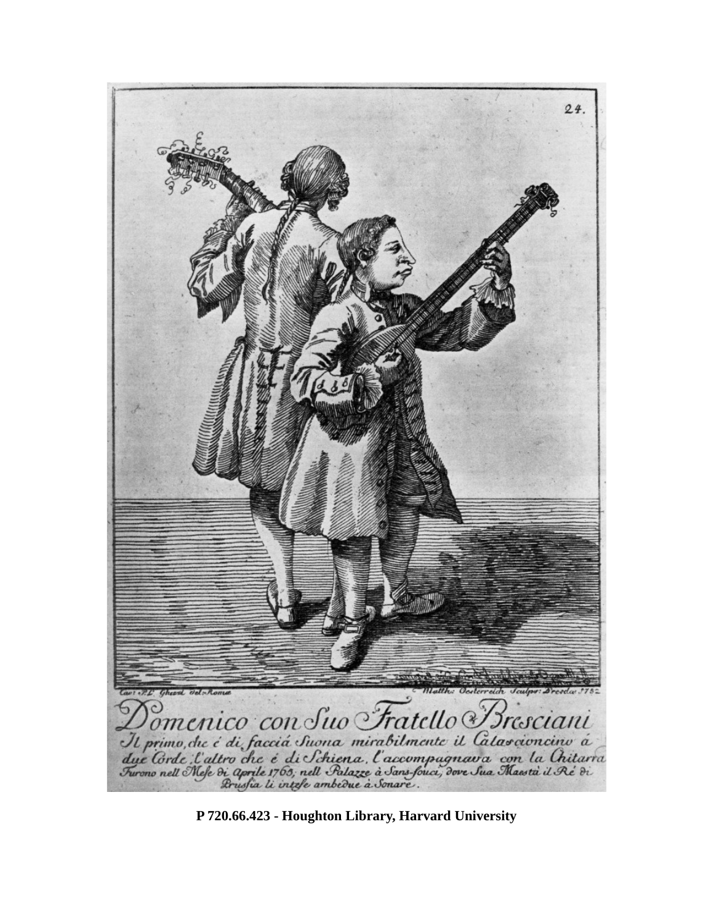

**P 720.66.423 - Houghton Library, Harvard University**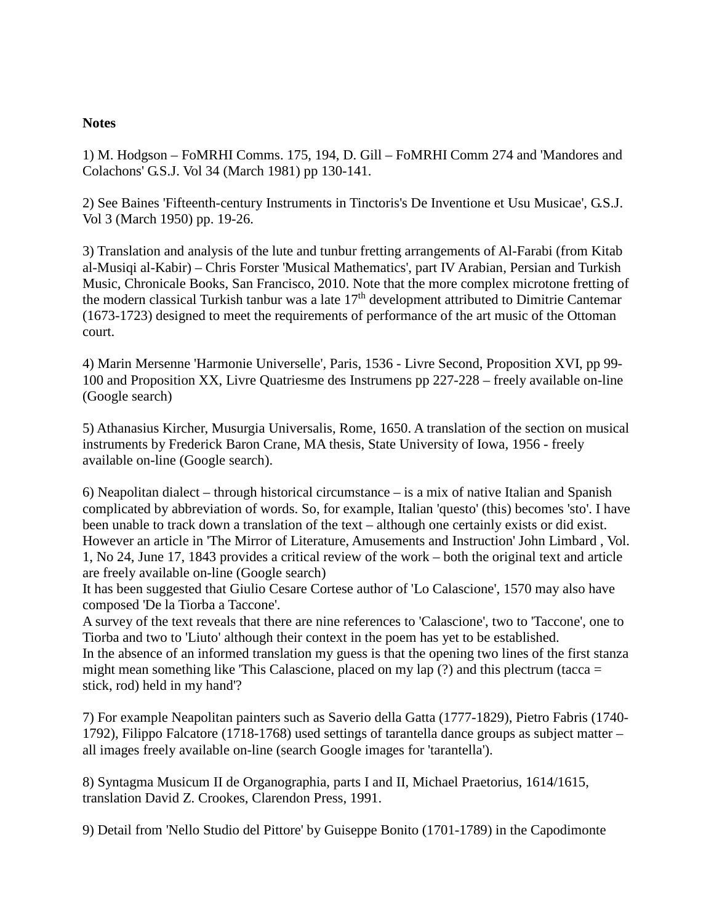## **Notes**

1) M. Hodgson – FoMRHI Comms. 175, 194, D. Gill – FoMRHI Comm 274 and 'Mandores and Colachons' G.S.J. Vol 34 (March 1981) pp 130-141.

2) See Baines 'Fifteenth-century Instruments in Tinctoris's De Inventione et Usu Musicae', G.S.J. Vol 3 (March 1950) pp. 19-26.

3) Translation and analysis of the lute and tunbur fretting arrangements of Al-Farabi (from Kitab al-Musiqi al-Kabir) – Chris Forster 'Musical Mathematics', part IV Arabian, Persian and Turkish Music, Chronicale Books, San Francisco, 2010. Note that the more complex microtone fretting of the modern classical Turkish tanbur was a late  $17<sup>th</sup>$  development attributed to Dimitrie Cantemar (1673-1723) designed to meet the requirements of performance of the art music of the Ottoman court.

4) Marin Mersenne 'Harmonie Universelle', Paris, 1536 - Livre Second, Proposition XVI, pp 99- 100 and Proposition XX, Livre Quatriesme des Instrumens pp 227-228 – freely available on-line (Google search)

5) Athanasius Kircher, Musurgia Universalis, Rome, 1650. A translation of the section on musical instruments by Frederick Baron Crane, MA thesis, State University of Iowa, 1956 - freely available on-line (Google search).

6) Neapolitan dialect – through historical circumstance – is a mix of native Italian and Spanish complicated by abbreviation of words. So, for example, Italian 'questo' (this) becomes 'sto'. I have been unable to track down a translation of the text – although one certainly exists or did exist. However an article in 'The Mirror of Literature, Amusements and Instruction' John Limbard , Vol. 1, No 24, June 17, 1843 provides a critical review of the work – both the original text and article are freely available on-line (Google search)

It has been suggested that Giulio Cesare Cortese author of 'Lo Calascione', 1570 may also have composed 'De la Tiorba a Taccone'.

A survey of the text reveals that there are nine references to 'Calascione', two to 'Taccone', one to Tiorba and two to 'Liuto' although their context in the poem has yet to be established. In the absence of an informed translation my guess is that the opening two lines of the first stanza might mean something like 'This Calascione, placed on my lap (?) and this plectrum (tacca = stick, rod) held in my hand'?

7) For example Neapolitan painters such as Saverio della Gatta (1777-1829), Pietro Fabris (1740- 1792), Filippo Falcatore (1718-1768) used settings of tarantella dance groups as subject matter – all images freely available on-line (search Google images for 'tarantella').

8) Syntagma Musicum II de Organographia, parts I and II, Michael Praetorius, 1614/1615, translation David Z. Crookes, Clarendon Press, 1991.

9) Detail from 'Nello Studio del Pittore' by Guiseppe Bonito (1701-1789) in the Capodimonte